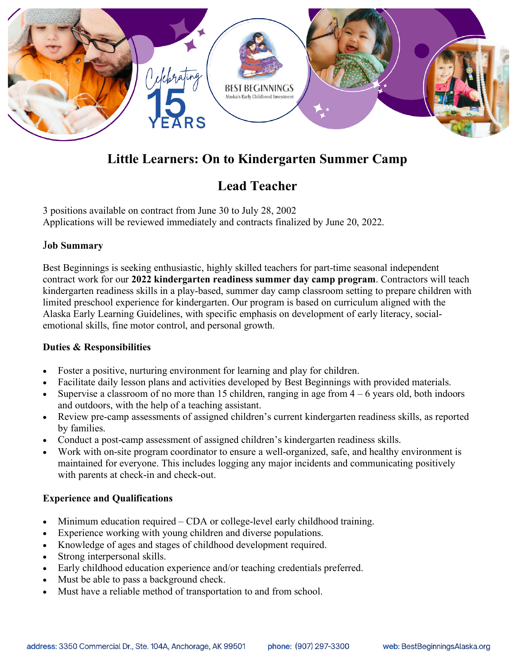

# **Little Learners: On to Kindergarten Summer Camp**

# **Lead Teacher**

3 positions available on contract from June 30 to July 28, 2002 Applications will be reviewed immediately and contracts finalized by June 20, 2022.

### J**ob Summary**

Best Beginnings is seeking enthusiastic, highly skilled teachers for part-time seasonal independent contract work for our **2022 kindergarten readiness summer day camp program**. Contractors will teach kindergarten readiness skills in a play-based, summer day camp classroom setting to prepare children with limited preschool experience for kindergarten. Our program is based on curriculum aligned with the Alaska Early Learning Guidelines, with specific emphasis on development of early literacy, socialemotional skills, fine motor control, and personal growth.

#### **Duties & Responsibilities**

- Foster a positive, nurturing environment for learning and play for children.
- Facilitate daily lesson plans and activities developed by Best Beginnings with provided materials.
- Supervise a classroom of no more than 15 children, ranging in age from  $4 6$  years old, both indoors and outdoors, with the help of a teaching assistant.
- Review pre-camp assessments of assigned children's current kindergarten readiness skills, as reported by families.
- Conduct a post-camp assessment of assigned children's kindergarten readiness skills.
- Work with on-site program coordinator to ensure a well-organized, safe, and healthy environment is maintained for everyone. This includes logging any major incidents and communicating positively with parents at check-in and check-out.

#### **Experience and Qualifications**

- Minimum education required CDA or college-level early childhood training.
- Experience working with young children and diverse populations.
- Knowledge of ages and stages of childhood development required.
- Strong interpersonal skills.
- Early childhood education experience and/or teaching credentials preferred.
- Must be able to pass a background check.
- Must have a reliable method of transportation to and from school.